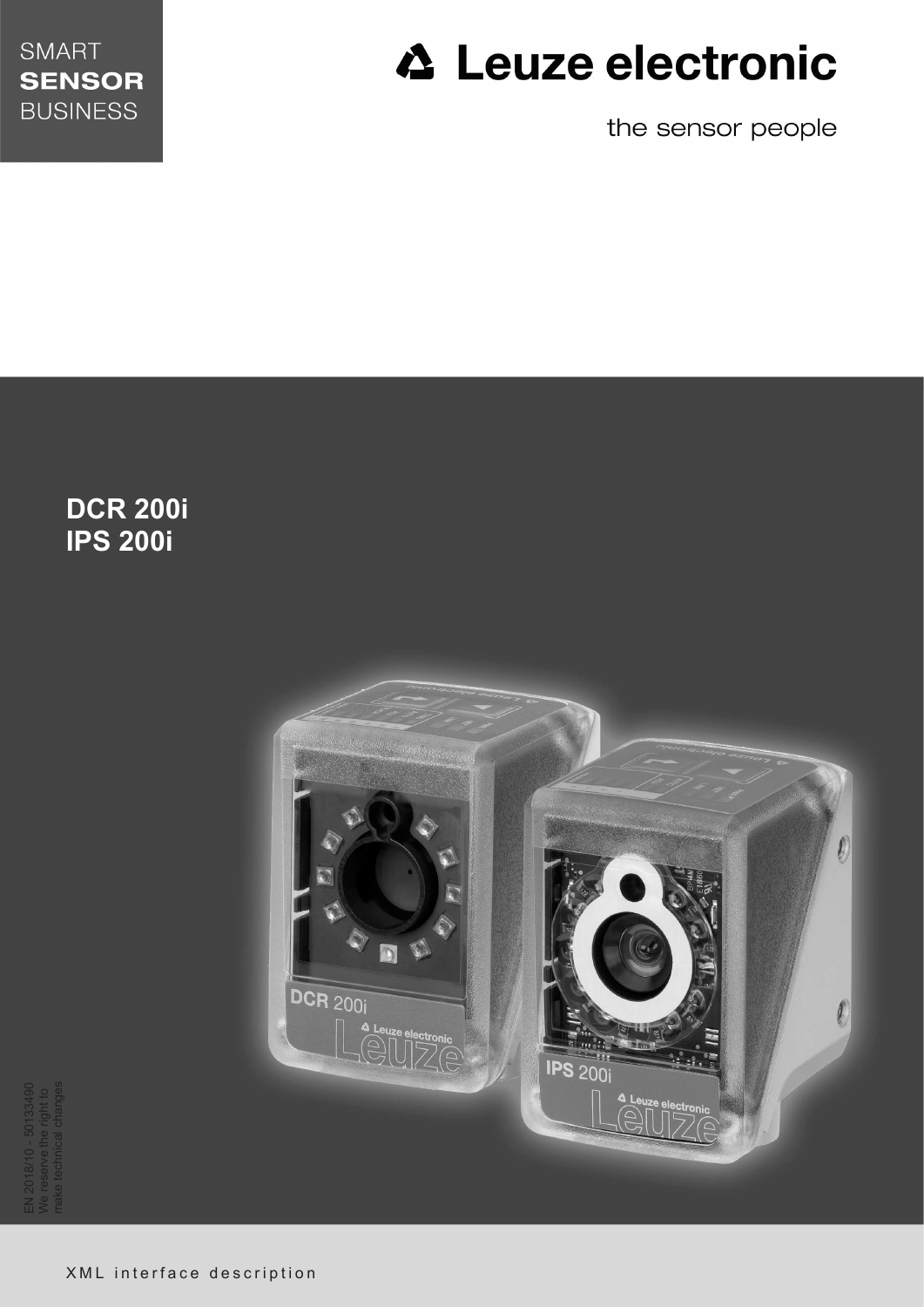

# **△ Leuze electronic**

the sensor people

**DCR 200i IPS 200i**



EN 2018/10 - 50133490 We reserve the right to make technical changes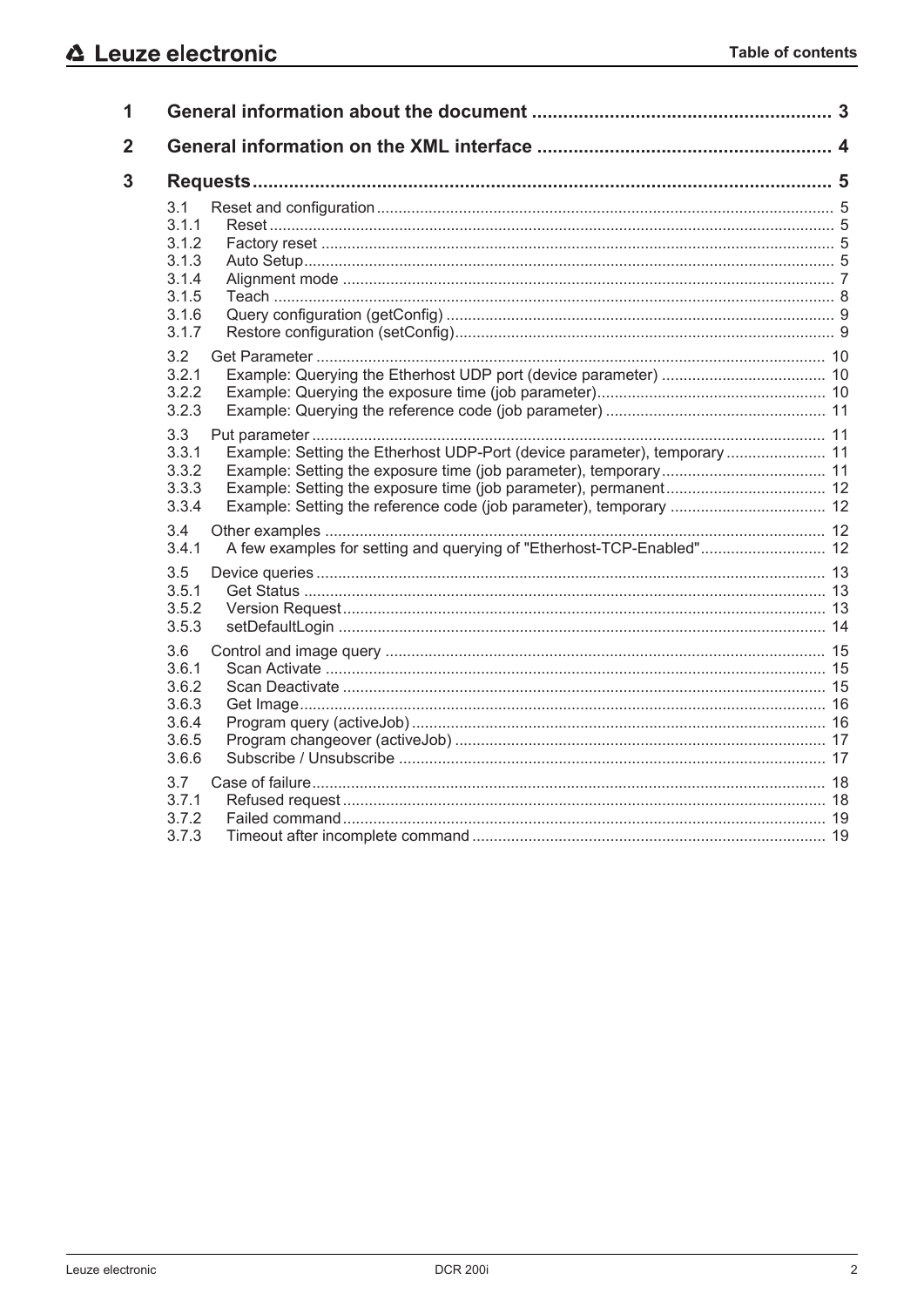| 1              |                                                                                                                      |  |
|----------------|----------------------------------------------------------------------------------------------------------------------|--|
| $\overline{2}$ |                                                                                                                      |  |
| 3              |                                                                                                                      |  |
|                | 3.1<br>3.1.1<br>3.1.2<br>3.1.3<br>3.1.4<br>3.1.5<br>3.1.6<br>3.1.7                                                   |  |
|                | 3.2<br>3.2.1<br>3.2.2<br>3.2.3                                                                                       |  |
|                | 3.3<br>Example: Setting the Etherhost UDP-Port (device parameter), temporary  11<br>3.3.1<br>3.3.2<br>3.3.3<br>3.3.4 |  |
|                | 3.4<br>A few examples for setting and querying of "Etherhost-TCP-Enabled" 12<br>3.4.1                                |  |
|                | 3.5<br>3.5.1<br>3.5.2<br>3.5.3                                                                                       |  |
|                | 3.6<br>3.6.1<br>3.6.2<br>3.6.3<br>3.6.4<br>3.6.5<br>3.6.6                                                            |  |
|                | 3.7<br>3.7.1<br>3.7.2<br>3.7.3                                                                                       |  |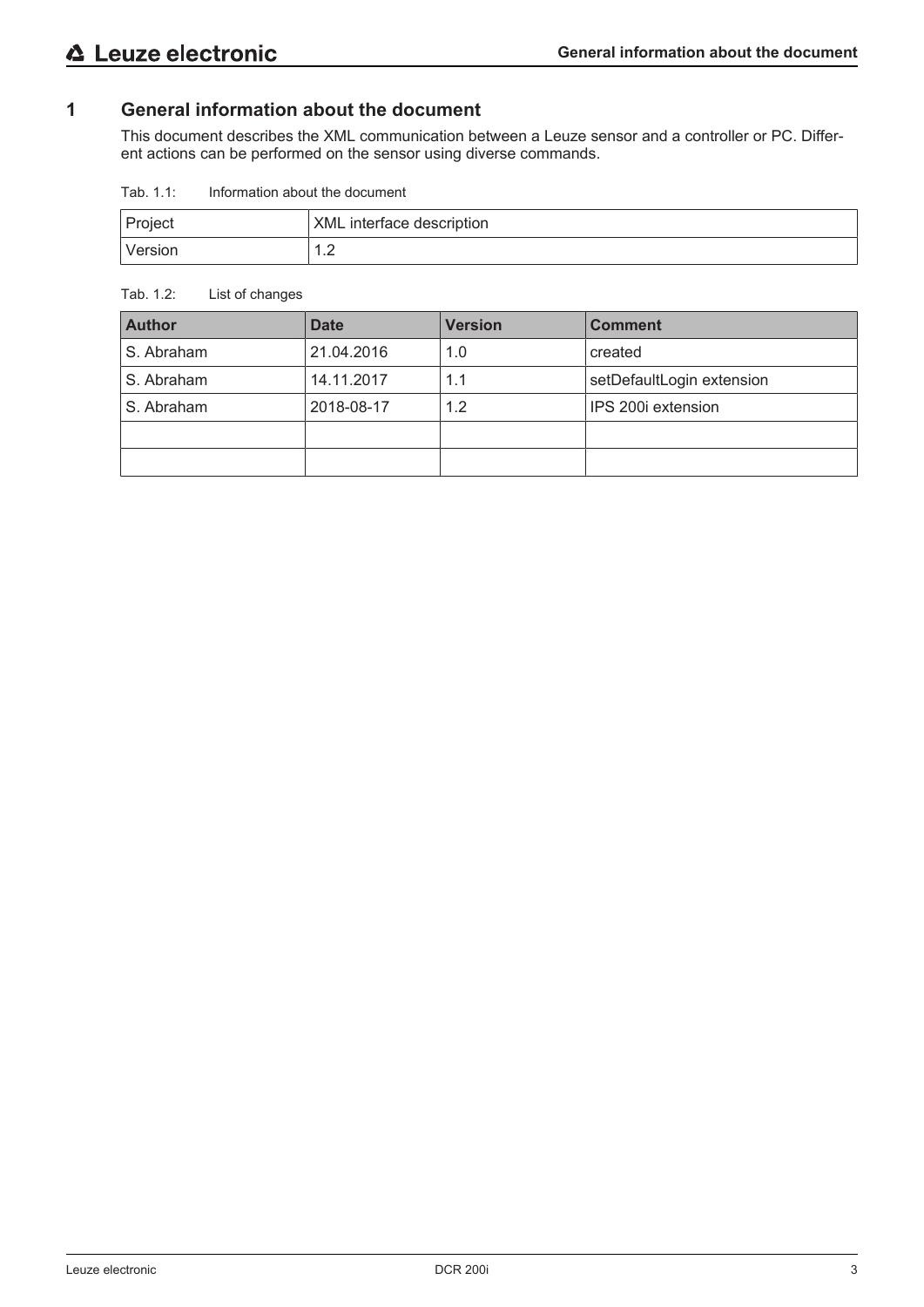# **1 General information about the document**

This document describes the XML communication between a Leuze sensor and a controller or PC. Different actions can be performed on the sensor using diverse commands.

Tab. 1.1: Information about the document

| Project  | XML interface description |
|----------|---------------------------|
| 'Version | .                         |

#### Tab. 1.2: List of changes

| <b>Author</b> | <b>Date</b> | <b>Version</b> | <b>Comment</b>            |
|---------------|-------------|----------------|---------------------------|
| S. Abraham    | 21.04.2016  | 1.0            | created                   |
| S. Abraham    | 14.11.2017  | 1.1            | setDefaultLogin extension |
| S. Abraham    | 2018-08-17  | 1.2            | IPS 200i extension        |
|               |             |                |                           |
|               |             |                |                           |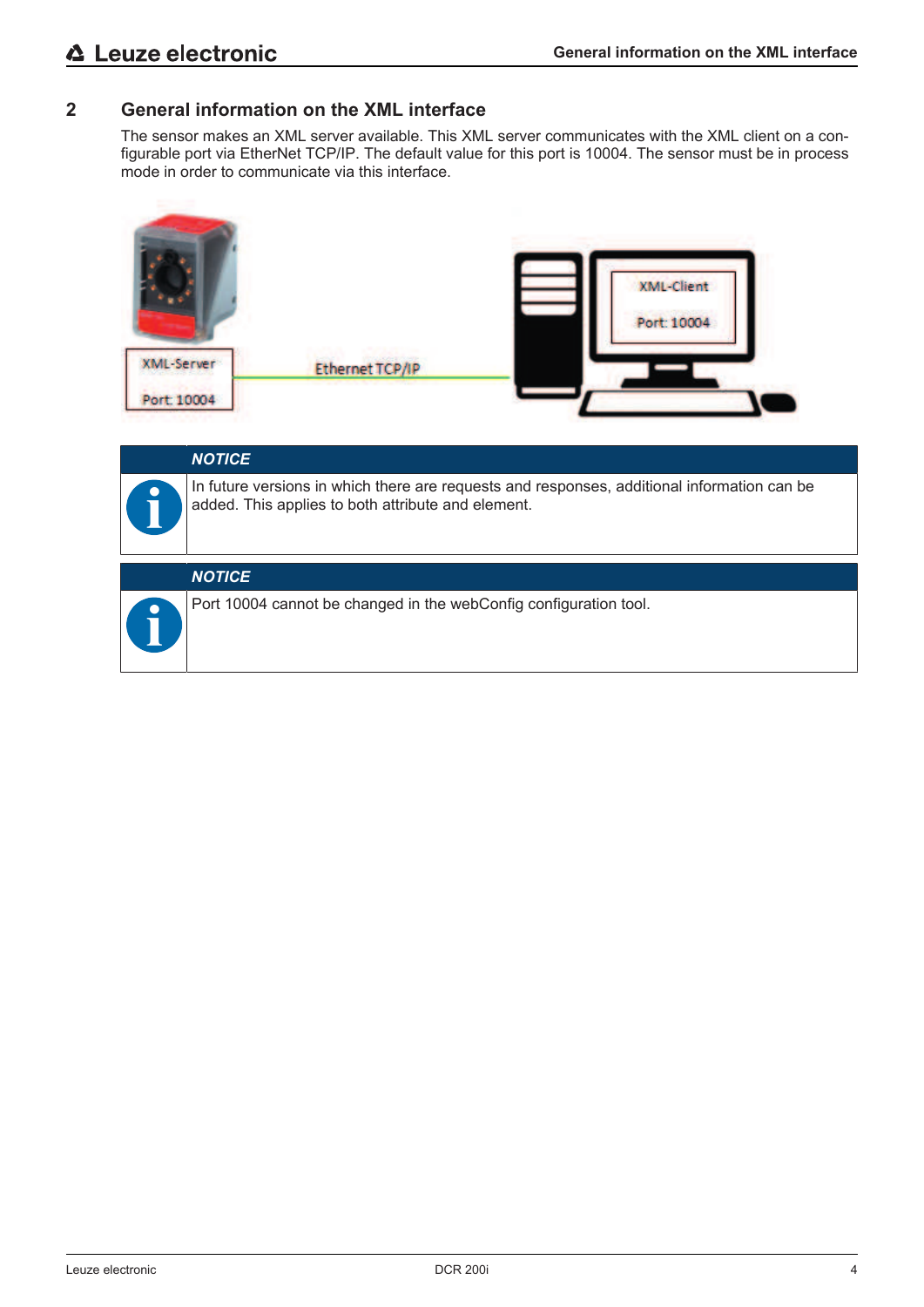# **2 General information on the XML interface**

The sensor makes an XML server available. This XML server communicates with the XML client on a configurable port via EtherNet TCP/IP. The default value for this port is 10004. The sensor must be in process mode in order to communicate via this interface.



| <b>NOTICE</b>                                                                                                                                     |
|---------------------------------------------------------------------------------------------------------------------------------------------------|
| In future versions in which there are requests and responses, additional information can be<br>added. This applies to both attribute and element. |
| <b>NOTICE</b>                                                                                                                                     |
| Port 10004 cannot be changed in the webConfig configuration tool.                                                                                 |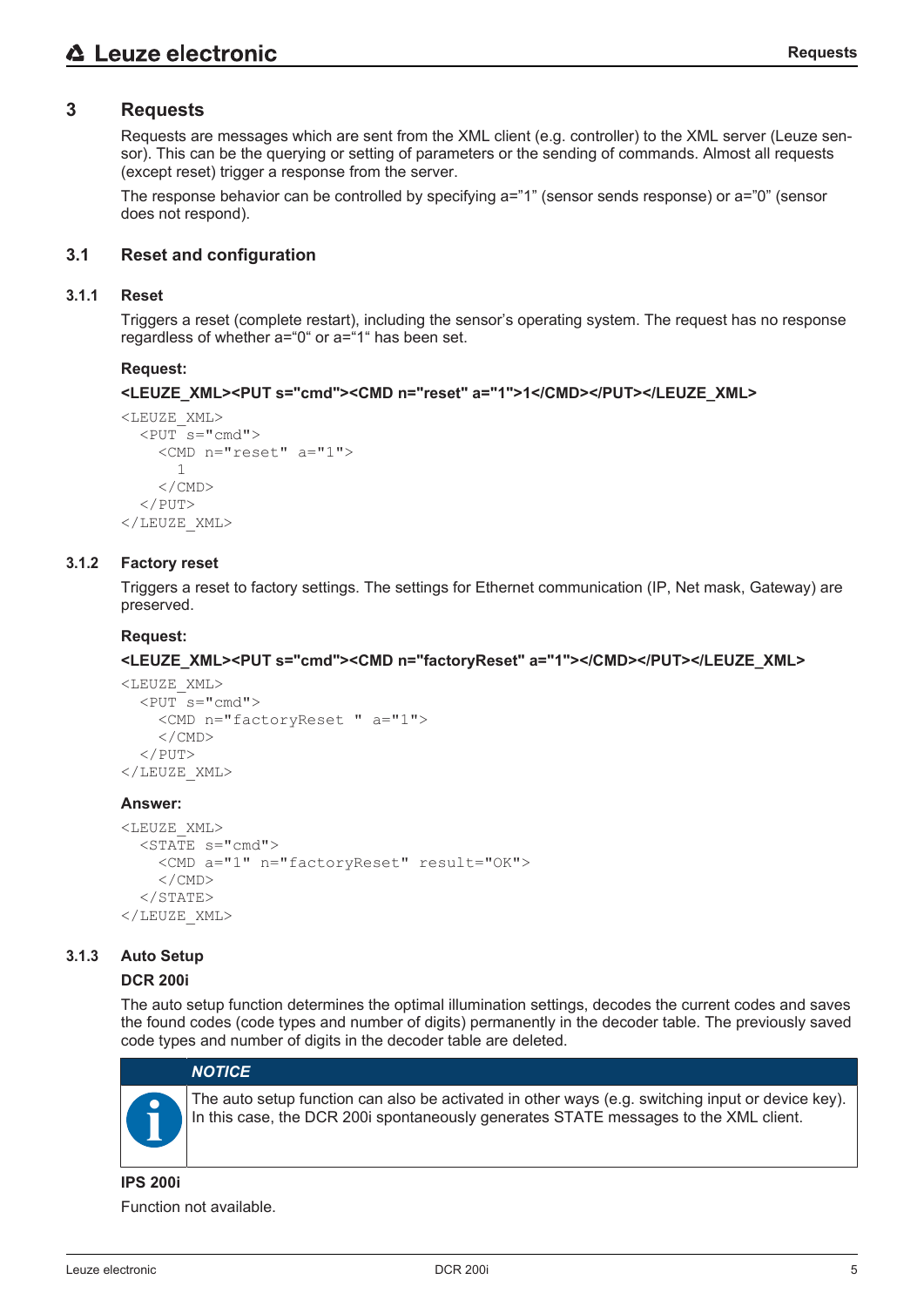# **3 Requests**

Requests are messages which are sent from the XML client (e.g. controller) to the XML server (Leuze sensor). This can be the querying or setting of parameters or the sending of commands. Almost all requests (except reset) trigger a response from the server.

The response behavior can be controlled by specifying a="1" (sensor sends response) or a="0" (sensor does not respond).

#### **3.1 Reset and configuration**

#### **3.1.1 Reset**

Triggers a reset (complete restart), including the sensor's operating system. The request has no response regardless of whether a="0" or a="1" has been set.

#### **Request:**

```
<LEUZE_XML><PUT s="cmd"><CMD n="reset" a="1">1</CMD></PUT></LEUZE_XML>
```

```
<LEUZE_XML>
  <PUT s="cmd">
         <CMD n="reset" a="1">
             1
         </CMD>
  </PUT>
</LEUZE_XML>
```
#### **3.1.2 Factory reset**

Triggers a reset to factory settings. The settings for Ethernet communication (IP, Net mask, Gateway) are preserved.

#### **Request:**

**<LEUZE\_XML><PUT s="cmd"><CMD n="factoryReset" a="1"></CMD></PUT></LEUZE\_XML>**

```
<LEUZE_XML>
  <PUT s="sub>"cmd"    <CMD n="factoryReset " a="1">
         </CMD>
  \langle/PUT\rangle</LEUZE_XML>
```
#### **Answer:**

```
<LEUZE_XML>
  \overline{\text{STATE}} s="cmd">
         <CMD a="1" n="factoryReset" result="OK">
         </CMD>
  </STATE>
</LEUZE_XML>
```
#### **3.1.3 Auto Setup**

#### **DCR 200i**

The auto setup function determines the optimal illumination settings, decodes the current codes and saves the found codes (code types and number of digits) permanently in the decoder table. The previously saved code types and number of digits in the decoder table are deleted.

# *NOTICE*



The auto setup function can also be activated in other ways (e.g. switching input or device key). In this case, the DCR 200i spontaneously generates STATE messages to the XML client.

#### **IPS 200i**

Function not available.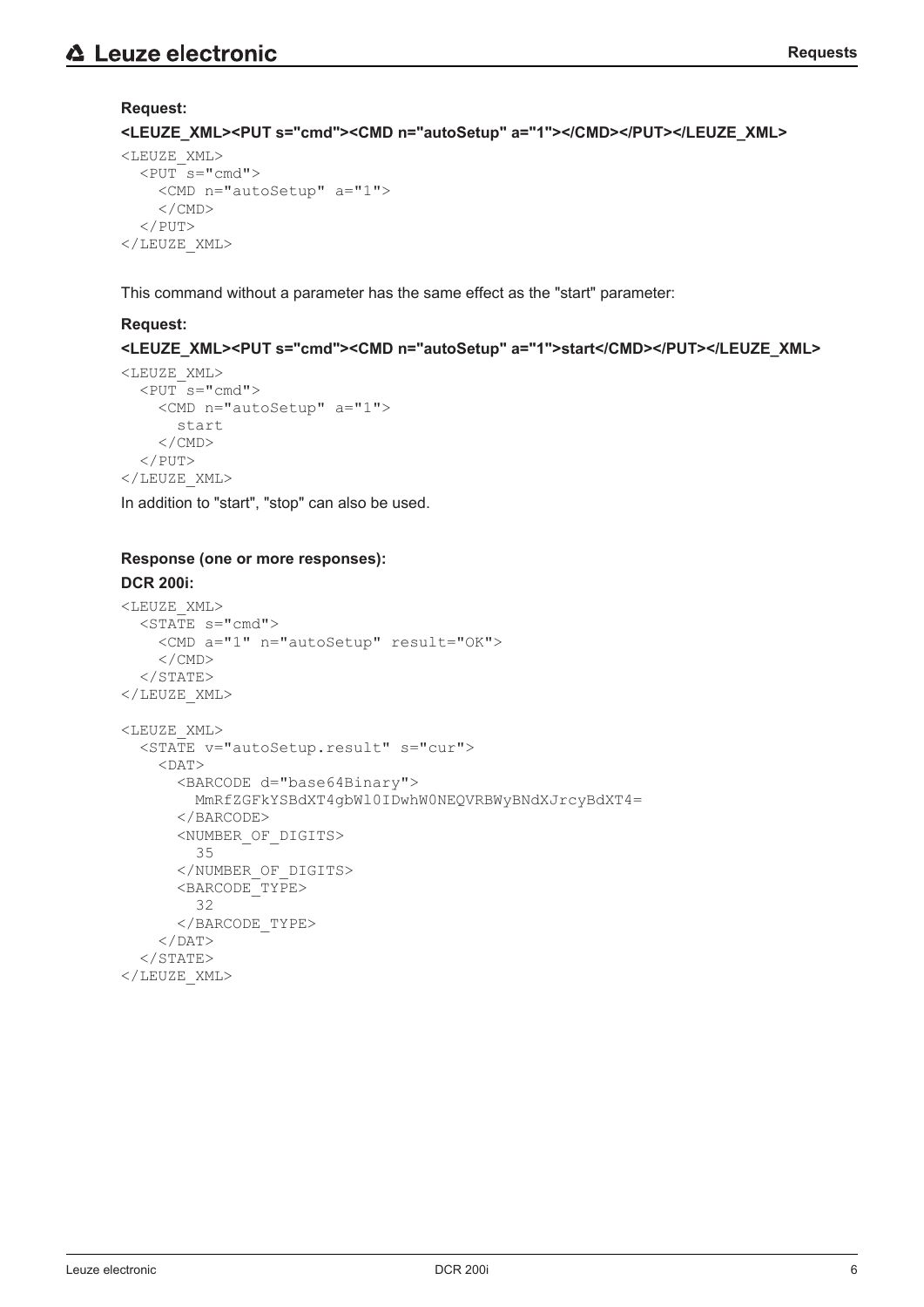# **Request:**

**<LEUZE\_XML><PUT s="cmd"><CMD n="autoSetup" a="1"></CMD></PUT></LEUZE\_XML>**

```
<LEUZE_XML>
  <PUT s="sub>"cmd"    <CMD n="autoSetup" a="1">
     \langle/CMD\rangle\langle/PUT\rangle</LEUZE_XML>
```
This command without a parameter has the same effect as the "start" parameter:

# **Request:**

**<LEUZE\_XML><PUT s="cmd"><CMD n="autoSetup" a="1">start</CMD></PUT></LEUZE\_XML>**

```
<LEUZE_XML>
  <PUT s="cmd">
         <CMD n="autoSetup" a="1">
             start
     \langle/CMD\rangle</PUT>
</LEUZE_XML>
```
In addition to "start", "stop" can also be used.

# **Response (one or more responses):**

# **DCR 200i:**

```
<LEUZE_XML>
  \overline{\text{STATE}} s="cmd">
         <CMD a="1" n="autoSetup" result="OK">
     \langle/CMD\rangle\langle/STATE>
</LEUZE_XML>
<LEUZE_XML>
    <STATE v="autoSetup.result" s="cur">
     <DAP>      <BARCODE d="base64Binary">
                  MmRfZGFkYSBdXT4gbWl0IDwhW0NEQVRBWyBNdXJrcyBdXT4=
              </BARCODE>
             <NUMBER_OF_DIGITS>
                  35
              </NUMBER_OF_DIGITS>
              <BARCODE_TYPE>
                  32
             </BARCODE_TYPE>
     </DAT>
  \langle/STATE>
</LEUZE_XML>
```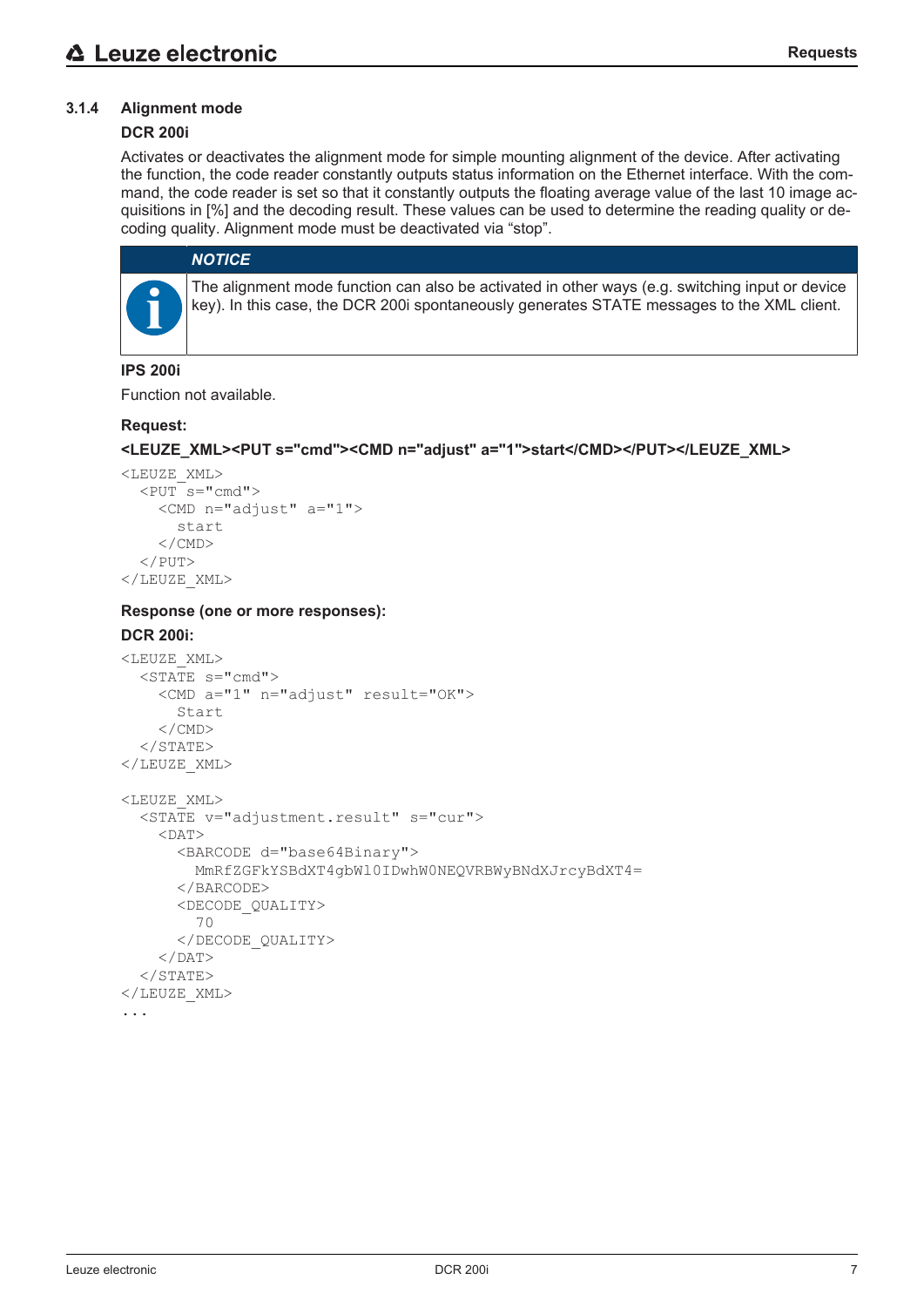# **3.1.4 Alignment mode**

# **DCR 200i**

Activates or deactivates the alignment mode for simple mounting alignment of the device. After activating the function, the code reader constantly outputs status information on the Ethernet interface. With the command, the code reader is set so that it constantly outputs the floating average value of the last 10 image acquisitions in [%] and the decoding result. These values can be used to determine the reading quality or decoding quality. Alignment mode must be deactivated via "stop".

#### *NOTICE*

The alignment mode function can also be activated in other ways (e.g. switching input or device key). In this case, the DCR 200i spontaneously generates STATE messages to the XML client.

#### **IPS 200i**

Function not available.

#### **Request:**

#### **<LEUZE\_XML><PUT s="cmd"><CMD n="adjust" a="1">start</CMD></PUT></LEUZE\_XML>**

```
<LEUZE_XML>
  \langlePUT s="cmd"    <CMD n="adjust" a="1">
              start
     \langle/CMD\rangle\langle/PUT>
</LEUZE_XML>
```
#### **Response (one or more responses):**

#### **DCR 200i:**

```
<LEUZE_XML>
  \overline{\text{STATE}} s="cmd">
         <CMD a="1" n="adjust" result="OK">
             Start
         </CMD>
  \langle/STATE>
</LEUZE_XML>
<LEUZE_XML>
    <STATE v="adjustment.result" s="cur">
     <DAP>      <BARCODE d="base64Binary">
                  MmRfZGFkYSBdXT4gbWl0IDwhW0NEQVRBWyBNdXJrcyBdXT4=
             </BARCODE>
             <DECODE_QUALITY>
                  70
             </DECODE_QUALITY>
     </DAT>
  \langle/STATE>
</LEUZE_XML>
```
...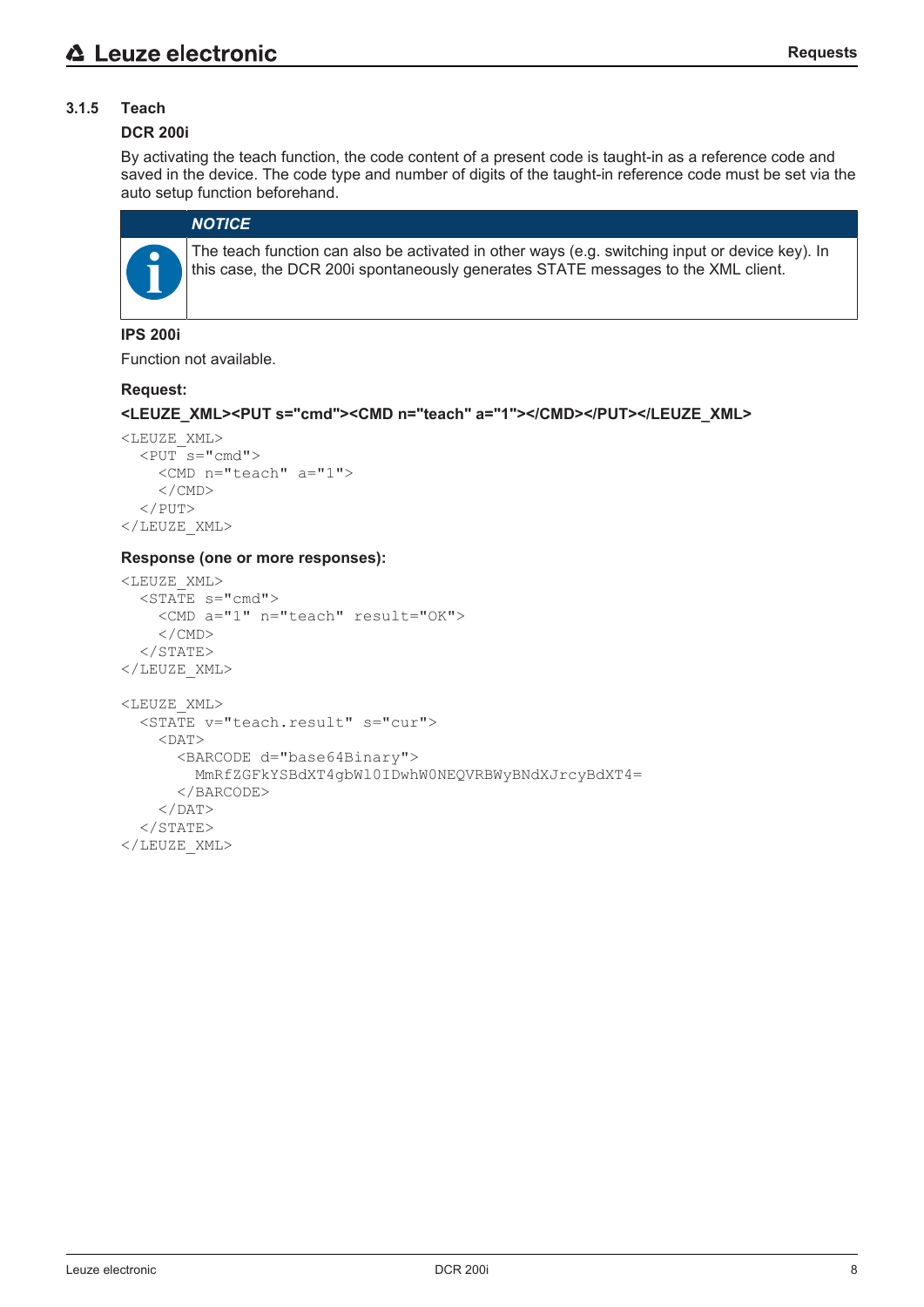# **3.1.5 Teach**

#### **DCR 200i**

By activating the teach function, the code content of a present code is taught-in as a reference code and saved in the device. The code type and number of digits of the taught-in reference code must be set via the auto setup function beforehand.

# *NOTICE*

The teach function can also be activated in other ways (e.g. switching input or device key). In this case, the DCR 200i spontaneously generates STATE messages to the XML client.

#### **IPS 200i**

Function not available.

#### **Request:**

```
<LEUZE_XML><PUT s="cmd"><CMD n="teach" a="1"></CMD></PUT></LEUZE_XML>
```

```
<LEUZE_XML>
  \overline{PUT} s="cmd">
         <CMD n="teach" a="1">
     \langle/CMD\rangle\langle/PUT\rangle</LEUZE_XML>
```
#### **Response (one or more responses):**

```
<LEUZE_XML>
  \overline{\text{STATE}} s="cmd">
        <CMD a="1" n="teach" result="OK">
    \langle/CMD\rangle</STATE>
</LEUZE_XML>
<LEUZE_XML>
    <STATE v="teach.result" s="cur">
     <DAT>      <BARCODE d="base64Binary">
                 MmRfZGFkYSBdXT4gbWl0IDwhW0NEQVRBWyBNdXJrcyBdXT4=
             </BARCODE>
     </DAT>
  </STATE>
</LEUZE_XML>
```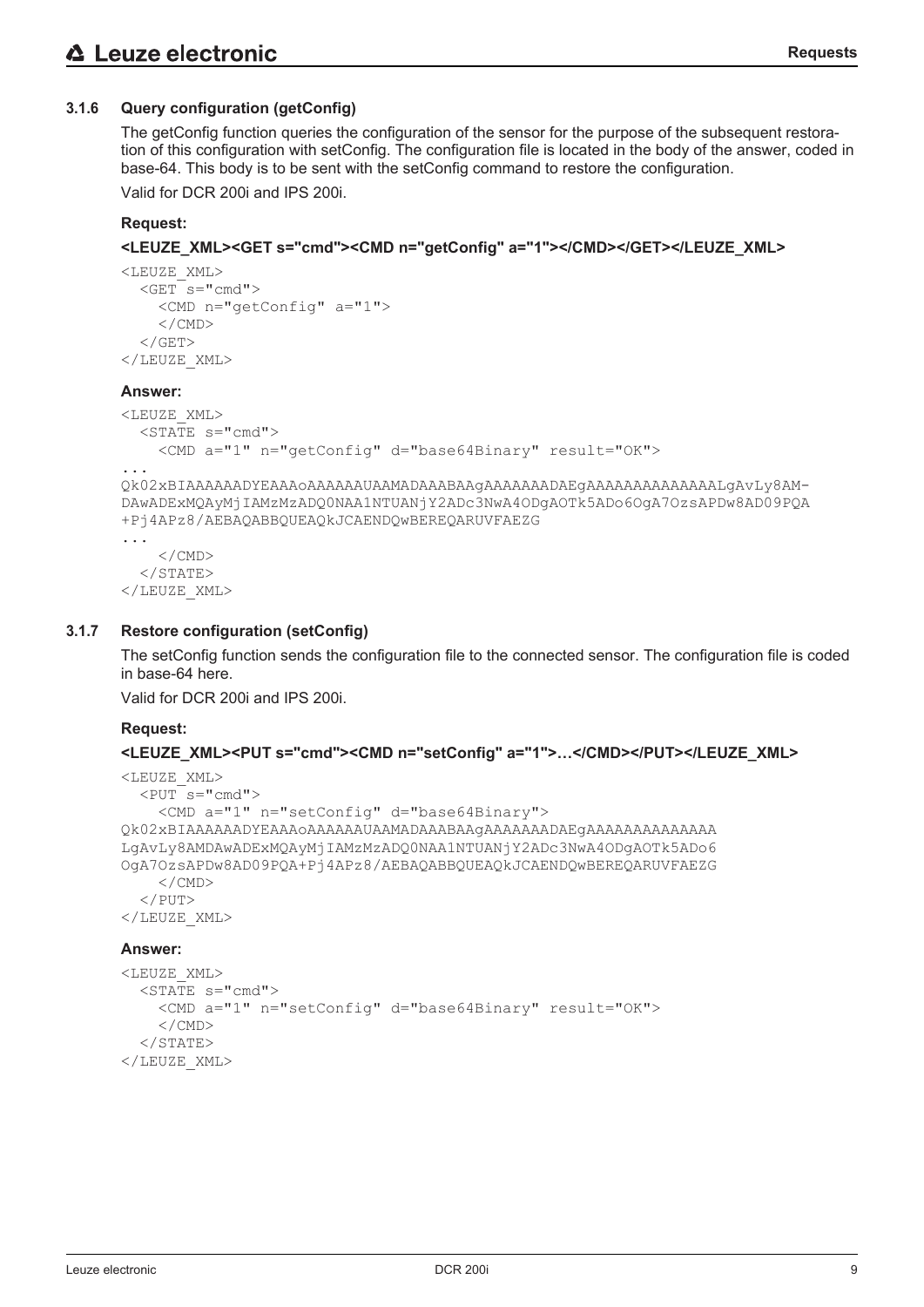# **3.1.6 Query configuration (getConfig)**

The getConfig function queries the configuration of the sensor for the purpose of the subsequent restoration of this configuration with setConfig. The configuration file is located in the body of the answer, coded in base-64. This body is to be sent with the setConfig command to restore the configuration. Valid for DCR 200i and IPS 200i.

#### **<LEUZE\_XML><GET s="cmd"><CMD n="getConfig" a="1"></CMD></GET></LEUZE\_XML>**

```
<LEUZE_XML>
  <GET s="sub>"<md">    <CMD n="getConfig" a="1">
     \langle/CMD\rangle\langle/GET></LEUZE_XML>
```
#### **Answer:**

**Request:**

```
<LEUZE_XML>
  \overline{\text{STATE}} s="cmd">
        <CMD a="1" n="getConfig" d="base64Binary" result="OK">
...
Qk02xBIAAAAAADYEAAAoAAAAAAUAAMADAAABAAgAAAAAAADAEgAAAAAAAAAAAAAALgAvLy8AM-
DAwADExMQAyMjIAMzMzADQ0NAA1NTUANjY2ADc3NwA4ODgAOTk5ADo6OgA7OzsAPDw8AD09PQA
+Pj4APz8/AEBAQABBQUEAQkJCAENDQwBEREQARUVFAEZG
...
        </CMD>
  </STATE>
</LEUZE_XML>
```
#### **3.1.7 Restore configuration (setConfig)**

The setConfig function sends the configuration file to the connected sensor. The configuration file is coded in base-64 here.

Valid for DCR 200i and IPS 200i.

#### **Request:**

#### **<LEUZE\_XML><PUT s="cmd"><CMD n="setConfig" a="1">…</CMD></PUT></LEUZE\_XML>**

```
<LEUZE_XML>
  <PUT s="cmd">
        <CMD a="1" n="setConfig" d="base64Binary">
Qk02xBIAAAAAADYEAAAoAAAAAAUAAMADAAABAAgAAAAAAADAEgAAAAAAAAAAAAAA
LgAvLy8AMDAwADExMQAyMjIAMzMzADQ0NAA1NTUANjY2ADc3NwA4ODgAOTk5ADo6
OgA7OzsAPDw8AD09PQA+Pj4APz8/AEBAQABBQUEAQkJCAENDQwBEREQARUVFAEZG
    \langle/CMD\rangle\langle/PUT>
</LEUZE_XML>
```

```
<LEUZE_XML>
  \overline{\text{STATE}} s="cmd">
         <CMD a="1" n="setConfig" d="base64Binary" result="OK">
     \langle/CMD\rangle</STATE>
</LEUZE_XML>
```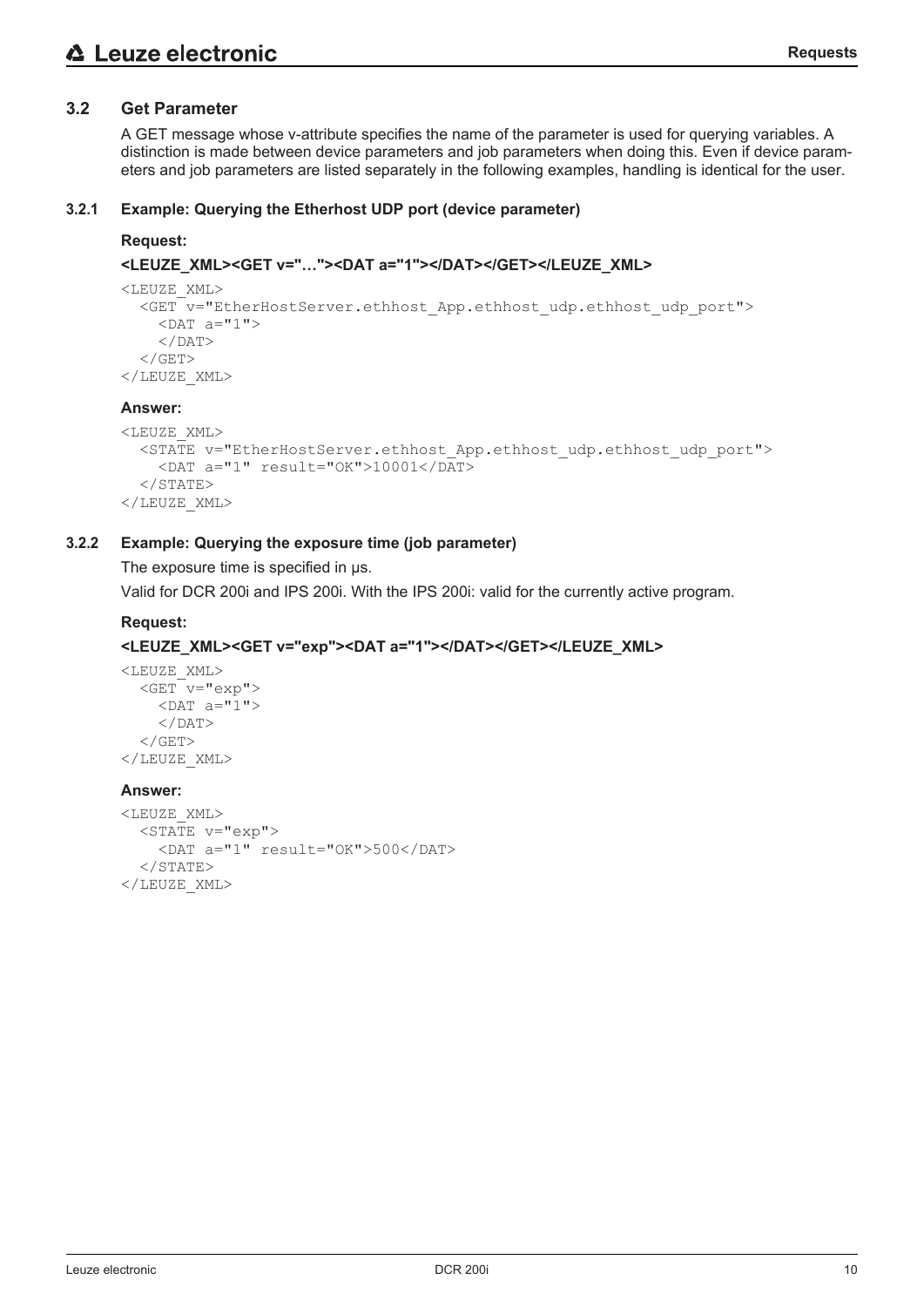A GET message whose v-attribute specifies the name of the parameter is used for querying variables. A distinction is made between device parameters and job parameters when doing this. Even if device parameters and job parameters are listed separately in the following examples, handling is identical for the user.

#### **3.2.1 Example: Querying the Etherhost UDP port (device parameter)**

#### **Request:**

#### **<LEUZE\_XML><GET v="…"><DAT a="1"></DAT></GET></LEUZE\_XML>**

```
<LEUZE_XML>
    <GET v="EtherHostServer.ethhost_App.ethhost_udp.ethhost_udp_port">
    <DAT a="1">
    \langle/DAT>\langle/GET>
</LEUZE_XML>
```
#### **Answer:**

```
<LEUZE_XML>
    <STATE v="EtherHostServer.ethhost_App.ethhost_udp.ethhost_udp_port">
        <DAT a="1" result="OK">10001</DAT>
  \langle/STATE>
</LEUZE_XML>
```
#### **3.2.2 Example: Querying the exposure time (job parameter)**

The exposure time is specified in  $\mu$ s.

Valid for DCR 200i and IPS 200i. With the IPS 200i: valid for the currently active program.

# **Request:**

#### **<LEUZE\_XML><GET v="exp"><DAT a="1"></DAT></GET></LEUZE\_XML>**

```
<LEUZE_XML>
  <GET v="exp">
    <DAT a="1">
    </DAT>
  \langle/GET>
</LEUZE_XML>
```

```
<LEUZE_XML>
    <STATE v="exp">
        <DAT a="1" result="OK">500</DAT>
  </STATE>
</LEUZE_XML>
```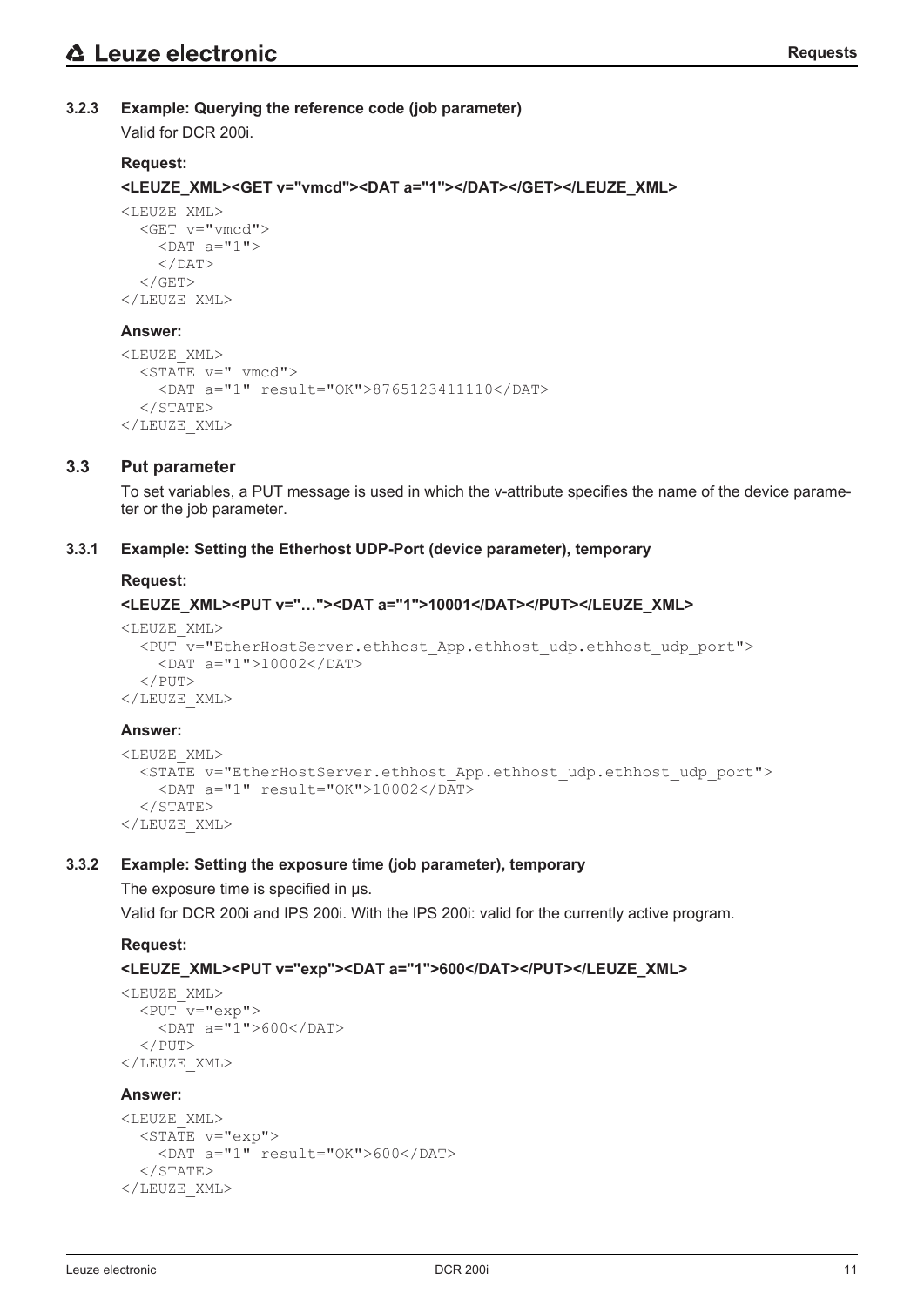# **3.2.3 Example: Querying the reference code (job parameter)**

Valid for DCR 200i.

# **Request:**

**<LEUZE\_XML><GET v="vmcd"><DAT a="1"></DAT></GET></LEUZE\_XML>**

```
<LEUZE_XML>
  <<b>GETv="vwmcd">
    <DAT a="1">
    </DAT>
  \langle/GET>
</LEUZE_XML>
```
# **Answer:**

```
<LEUZE_XML>
  \overline{\text{STATE}} v=" vmcd">
         <DAT a="1" result="OK">8765123411110</DAT>
  \langle/STATE>
</LEUZE_XML>
```
# **3.3 Put parameter**

To set variables, a PUT message is used in which the v-attribute specifies the name of the device parameter or the job parameter.

# **3.3.1 Example: Setting the Etherhost UDP-Port (device parameter), temporary**

# **Request:**

# **<LEUZE\_XML><PUT v="…"><DAT a="1">10001</DAT></PUT></LEUZE\_XML>**

```
<LEUZE_XML>
    <PUT v="EtherHostServer.ethhost_App.ethhost_udp.ethhost_udp_port">
        <DAT a="1">10002</DAT>
  \langle/PUT\rangle</LEUZE_XML>
```
#### **Answer:**

```
<LEUZE_XML>
    <STATE v="EtherHostServer.ethhost_App.ethhost_udp.ethhost_udp_port">
    \overline{P} <DAT a="1" result="0K">10002</DAT>
  \langle/STATE>
</LEUZE_XML>
```
# **3.3.2 Example: Setting the exposure time (job parameter), temporary**

The exposure time is specified in  $\mu$ s.

Valid for DCR 200i and IPS 200i. With the IPS 200i: valid for the currently active program.

# **Request:**

#### **<LEUZE\_XML><PUT v="exp"><DAT a="1">600</DAT></PUT></LEUZE\_XML>**

```
<LEUZE_XML>
  \overline{<PUT v="exp">
        <DAT a="1">600</DAT>
  </PUT>
</LEUZE_XML>
```

```
<LEUZE_XML>
  \overline{\text{STATE}} v="exp">
         <DAT a="1" result="OK">600</DAT>
  \langle/STATE>
</LEUZE_XML>
```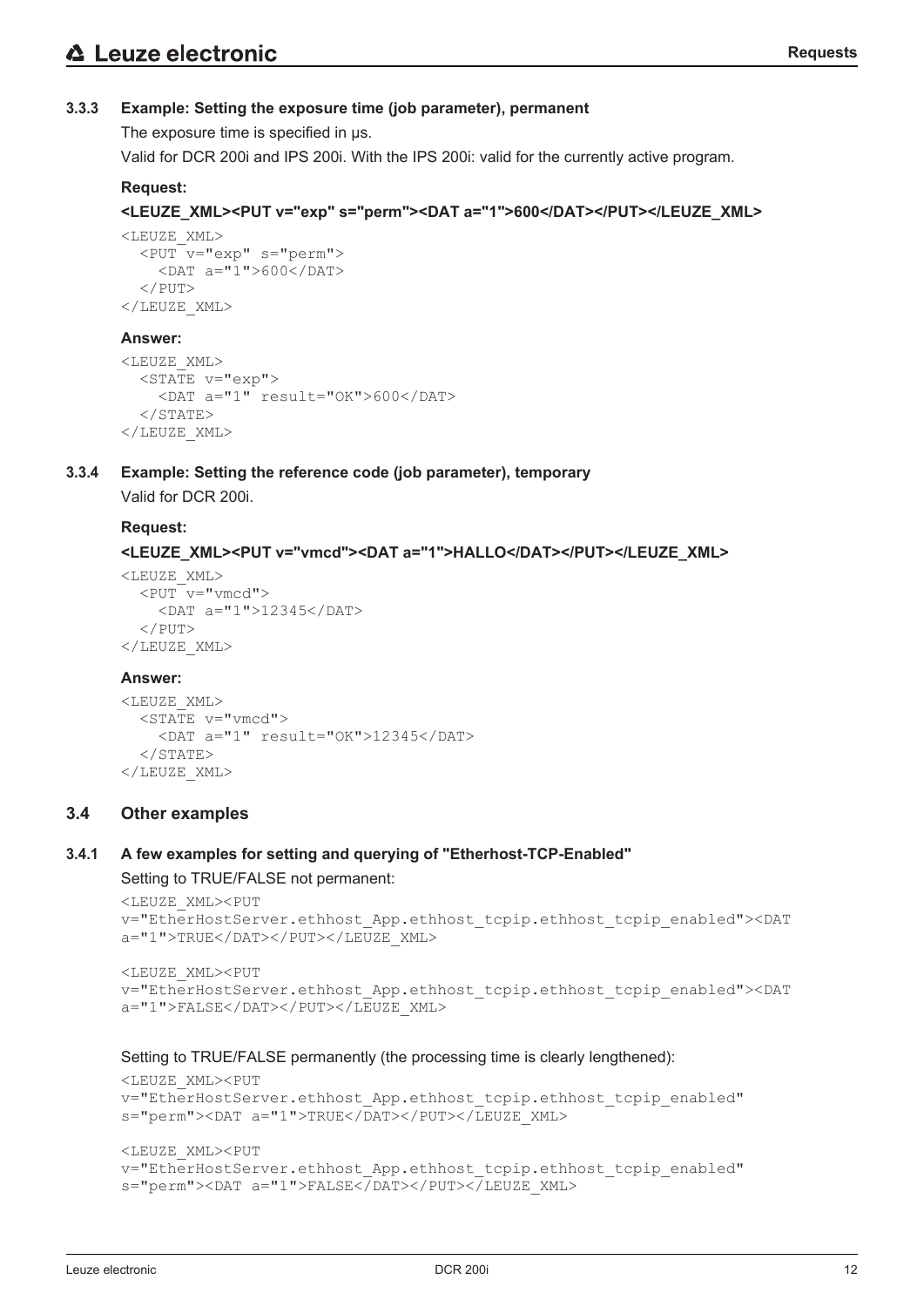# **3.3.3 Example: Setting the exposure time (job parameter), permanent**

The exposure time is specified in us.

Valid for DCR 200i and IPS 200i. With the IPS 200i: valid for the currently active program.

# **Request:**

```
<LEUZE_XML><PUT v="exp" s="perm"><DAT a="1">600</DAT></PUT></LEUZE_XML>
```

```
<LEUZE_XML>
    <PUT v="exp" s="perm">
        <DAT a="1">600</DAT>
  \langle/PUT>
</LEUZE_XML>
```
#### **Answer:**

```
<LEUZE_XML>
  \overline{\text{STATE}} v="exp">
         <DAT a="1" result="OK">600</DAT>
  \langle/STATE>
</LEUZE_XML>
```
#### **3.3.4 Example: Setting the reference code (job parameter), temporary**

Valid for DCR 200i.

#### **Request:**

```
<LEUZE_XML><PUT v="vmcd"><DAT a="1">HALLO</DAT></PUT></LEUZE_XML>
```

```
<LEUZE_XML>
  \overline{<PUT v="vmcd">
         <DAT a="1">12345</DAT>
  \langle/PUT>
</LEUZE_XML>
```
#### **Answer:**

```
<LEUZE_XML>
  \overline{\text{STATE}} v="vmcd">
         <DAT a="1" result="OK">12345</DAT>
  \langle/STATE>
</LEUZE_XML>
```
# **3.4 Other examples**

# **3.4.1 A few examples for setting and querying of "Etherhost-TCP-Enabled"**

Setting to TRUE/FALSE not permanent:

```
<LEUZE_XML><PUT
v="EtherHostServer.ethhost_App.ethhost_tcpip.ethhost_tcpip_enabled"><DAT
a="1">TRUE</DAT></PUT></LEUZE_XML>
```

```
<LEUZE_XML><PUT
v="EtherHostServer.ethhost_App.ethhost_tcpip.ethhost_tcpip_enabled"><DAT
a="1">FALSE</DAT></PUT></LEUZE_XML>
```
Setting to TRUE/FALSE permanently (the processing time is clearly lengthened):

```
<LEUZE_XML><PUT
v="EtherHostServer.ethhost App.ethhost tcpip.ethhost tcpip enabled"
s="perm"><DAT a="1">TRUE</DAT></PUT></LEUZE_XML>
<LEUZE_XML><PUT
v="EtherHostServer.ethhost App.ethhost tcpip.ethhost tcpip enabled"
s="perm"><DAT a="1">FALSE</DAT></PUT></LEUZE_XML>
```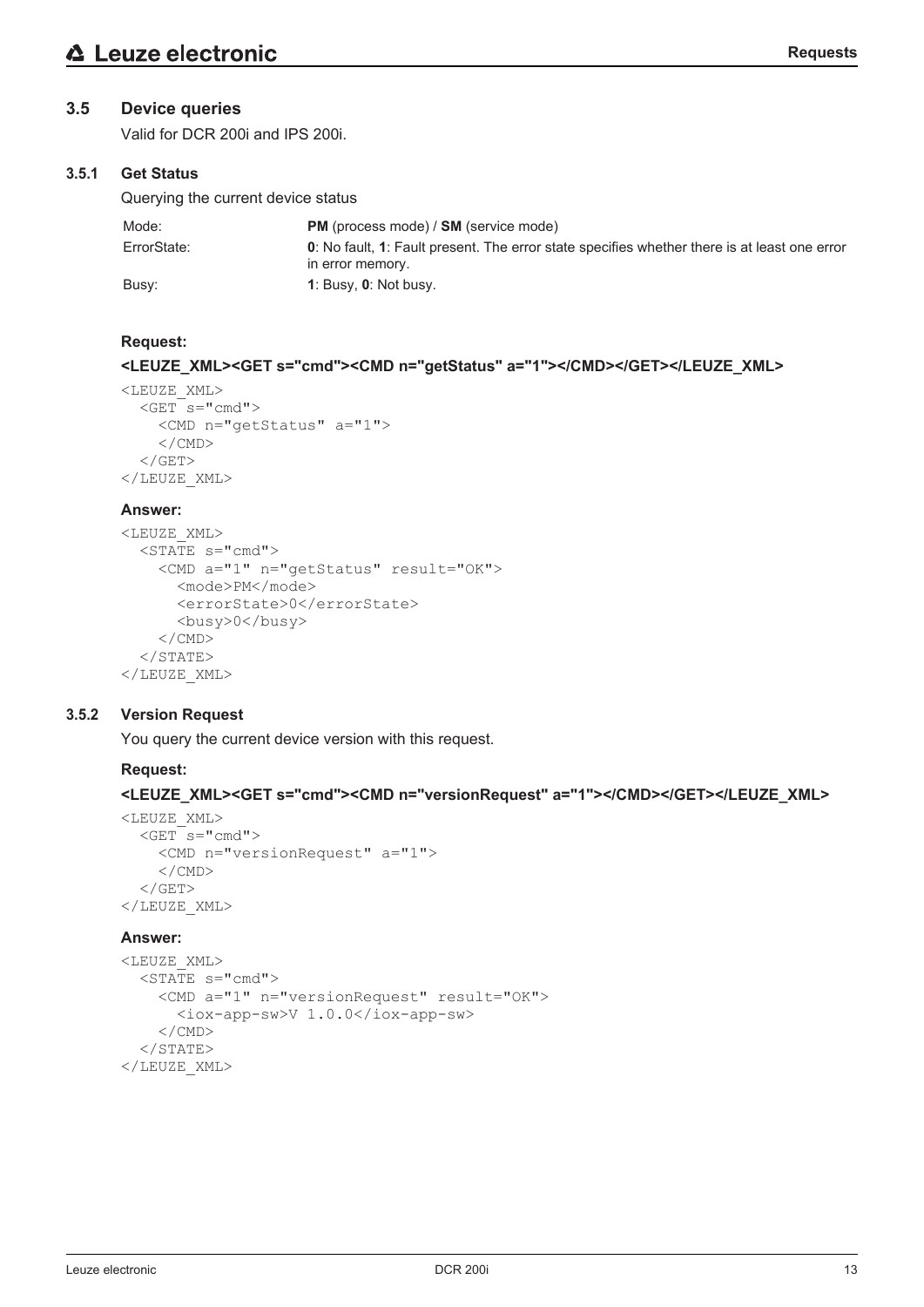# **3.5 Device queries**

Valid for DCR 200i and IPS 200i.

# **3.5.1 Get Status**

Querying the current device status

| Mode:       | <b>PM</b> (process mode) / <b>SM</b> (service mode)                                                              |
|-------------|------------------------------------------------------------------------------------------------------------------|
| ErrorState: | 0: No fault, 1: Fault present. The error state specifies whether there is at least one error<br>in error memory. |
| Busy:       | 1: Busy, $0$ : Not busy.                                                                                         |

# **Request:**

# **<LEUZE\_XML><GET s="cmd"><CMD n="getStatus" a="1"></CMD></GET></LEUZE\_XML>**

```
<LEUZE_XML>
  <<b>GET s="cmd">
         <CMD n="getStatus" a="1">
     \langle/CMD\rangle\langle/GET>
</LEUZE_XML>
```
#### **Answer:**

```
<LEUZE_XML>
  \overline{\text{STATE}} s="cmd">
         <CMD a="1" n="getStatus" result="OK">
              <mode>PM</mode>
              <errorState>0</errorState>
              <busy>0</busy>
     \langle/CMD\rangle\langle/STATE>
</LEUZE_XML>
```
# **3.5.2 Version Request**

You query the current device version with this request.

#### **Request:**

**<LEUZE\_XML><GET s="cmd"><CMD n="versionRequest" a="1"></CMD></GET></LEUZE\_XML>**

```
<LEUZE_XML>
  <<b>GET s="cmd">
         <CMD n="versionRequest" a="1">
     \langle/CMD\rangle\langle/GET>
</LEUZE_XML>
```

```
<LEUZE_XML>
  \overline{\text{STATE}} s="cmd">
        <CMD a="1" n="versionRequest" result="OK">
             <iox-app-sw>V 1.0.0</iox-app-sw>
        </CMD>
  </STATE>
</LEUZE_XML>
```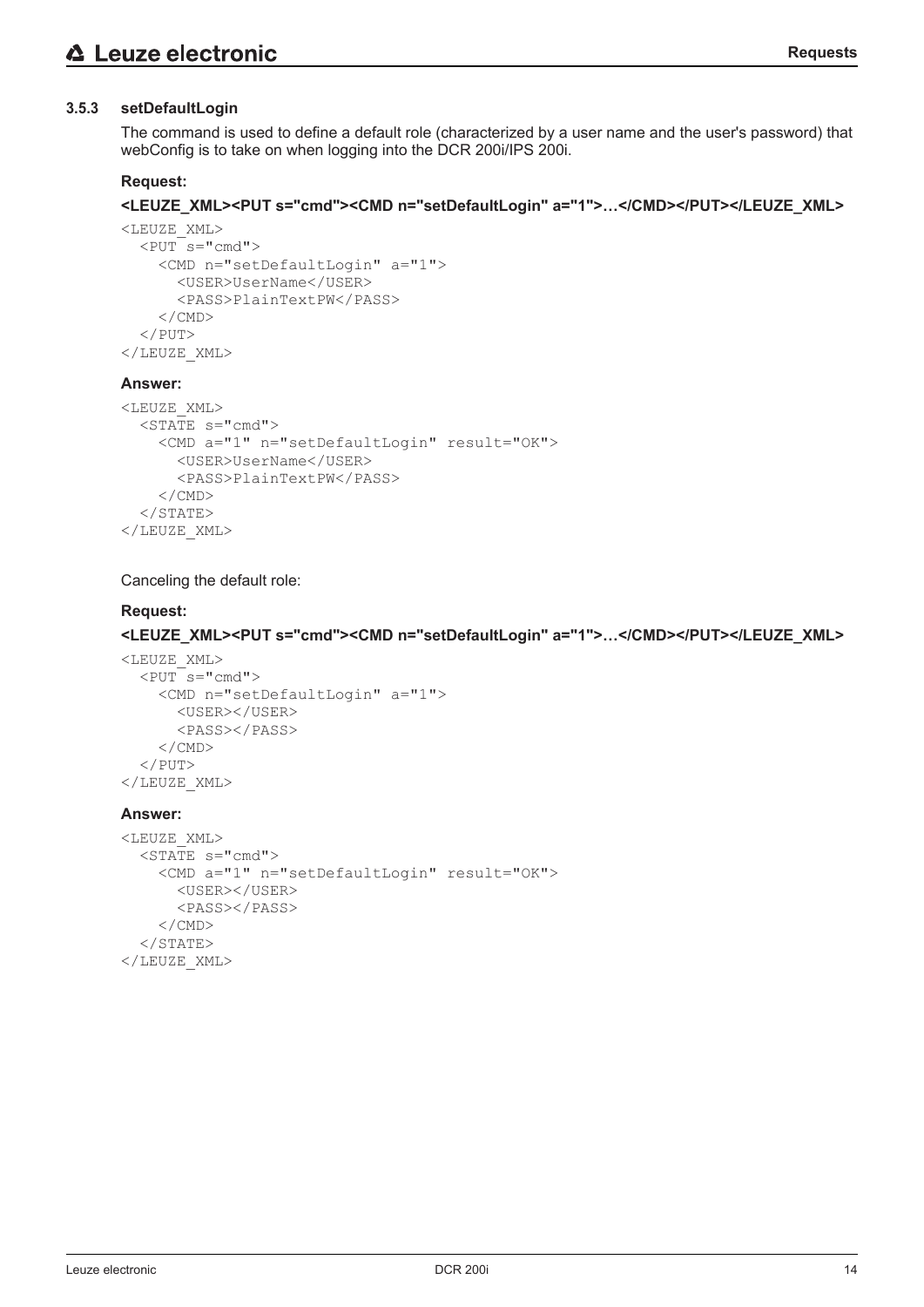#### **3.5.3 setDefaultLogin**

The command is used to define a default role (characterized by a user name and the user's password) that webConfig is to take on when logging into the DCR 200i/IPS 200i.

#### **Request:**

#### **<LEUZE\_XML><PUT s="cmd"><CMD n="setDefaultLogin" a="1">…</CMD></PUT></LEUZE\_XML>**

```
<LEUZE_XML>
  <PUT s="cmd">
        <CMD n="setDefaultLogin" a="1">
             <USER>UserName</USER>
             <PASS>PlainTextPW</PASS>
        </CMD>
  \langle/PUT\rangle</LEUZE_XML>
```
#### **Answer:**

```
<LEUZE_XML>
    <STATE s="cmd">
        <CMD a="1" n="setDefaultLogin" result="OK">
             <USER>UserName</USER>
             <PASS>PlainTextPW</PASS>
    \langle/CMD\rangle</STATE>
</LEUZE_XML>
```
#### Canceling the default role:

#### **Request:**

#### **<LEUZE\_XML><PUT s="cmd"><CMD n="setDefaultLogin" a="1">…</CMD></PUT></LEUZE\_XML>**

```
<LEUZE_XML>
  \overline{<PUT s="cmd">
         <CMD n="setDefaultLogin" a="1">
              <USER></USER>
              <PASS></PASS>
     \langle/CMD\rangle\langle/PUT>
</LEUZE_XML>
```

```
<LEUZE_XML>
  \overline{\text{STATE}} s="cmd">
         <CMD a="1" n="setDefaultLogin" result="OK">
              <USER></USER>
             <PASS></PASS>
     \langle/CMD\rangle</STATE>
</LEUZE_XML>
```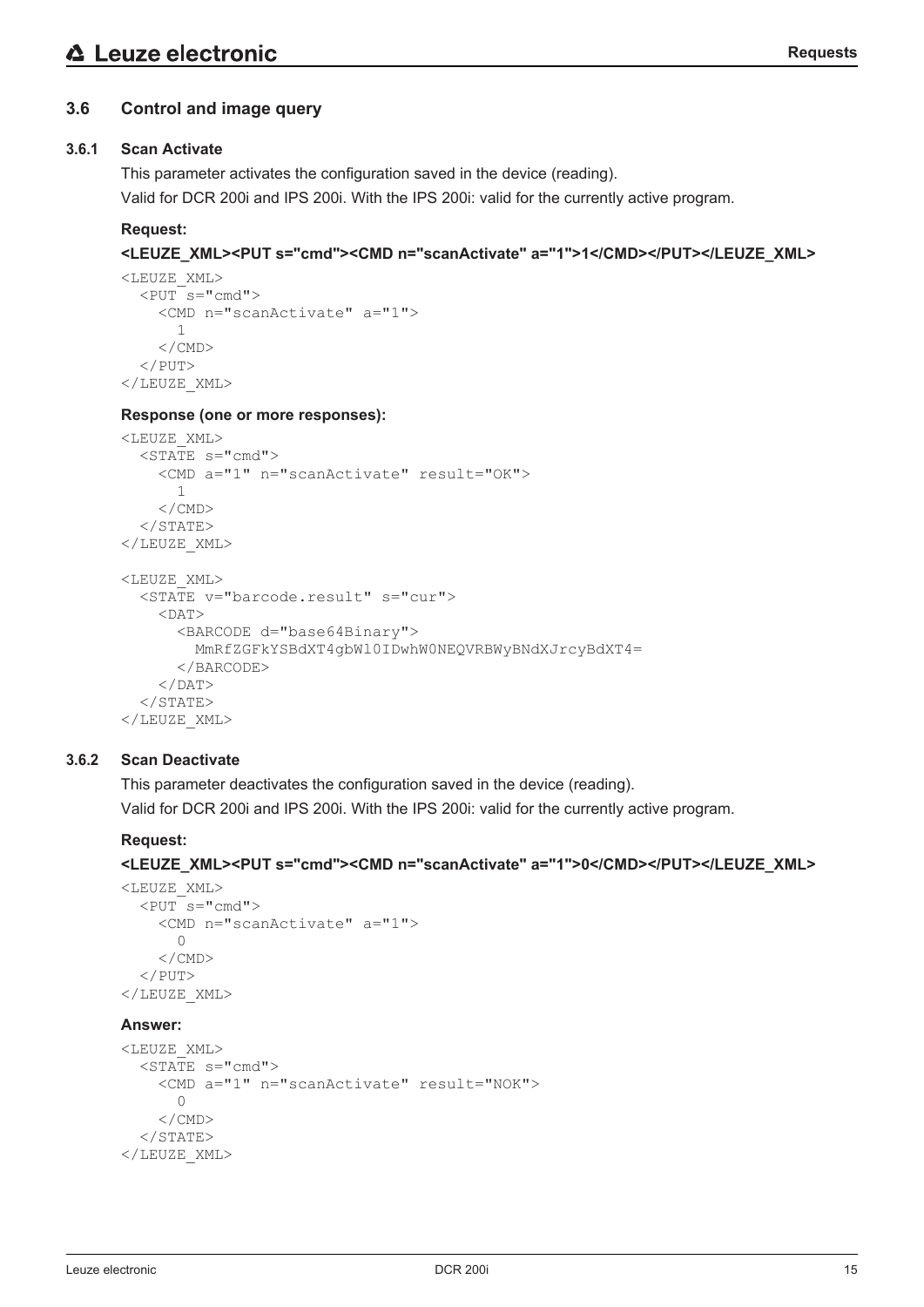# **3.6 Control and image query**

# **3.6.1 Scan Activate**

This parameter activates the configuration saved in the device (reading).

Valid for DCR 200i and IPS 200i. With the IPS 200i: valid for the currently active program.

# **Request:**

# **<LEUZE\_XML><PUT s="cmd"><CMD n="scanActivate" a="1">1</CMD></PUT></LEUZE\_XML>**

```
<LEUZE_XML>
  <PUT s="cmd">
         <CMD n="scanActivate" a="1">
             1
     \langle/CMD\rangle</PUT>
</LEUZE_XML>
```
#### **Response (one or more responses):**

```
<LEUZE_XML>
  \overline{\text{STATE}} s="cmd">
         <CMD a="1" n="scanActivate" result="OK">
             1
     \langle/CMD\rangle\langle/STATE>
</LEUZE_XML>
<LEUZE_XML>
    <STATE v="barcode.result" s="cur">
     <DAT>      <BARCODE d="base64Binary">
                 MmRfZGFkYSBdXT4gbWl0IDwhW0NEQVRBWyBNdXJrcyBdXT4=
             </BARCODE>
     </DAT>
  \langle/STATE>
</LEUZE_XML>
```
#### **3.6.2 Scan Deactivate**

This parameter deactivates the configuration saved in the device (reading). Valid for DCR 200i and IPS 200i. With the IPS 200i: valid for the currently active program.

#### **Request:**

**<LEUZE\_XML><PUT s="cmd"><CMD n="scanActivate" a="1">0</CMD></PUT></LEUZE\_XML>**

```
<LEUZE_XML>
  <PUTs="cmd">
         <CMD n="scanActivate" a="1">
       \bigcap    </CMD>
  \langle/PUT\rangle</LEUZE_XML>
```

```
<LEUZE_XML>
    <STATE s="cmd">
         <CMD a="1" n="scanActivate" result="NOK">
       \bigcap\langle/CMD\rangle\langle/STATE>
</LEUZE_XML>
```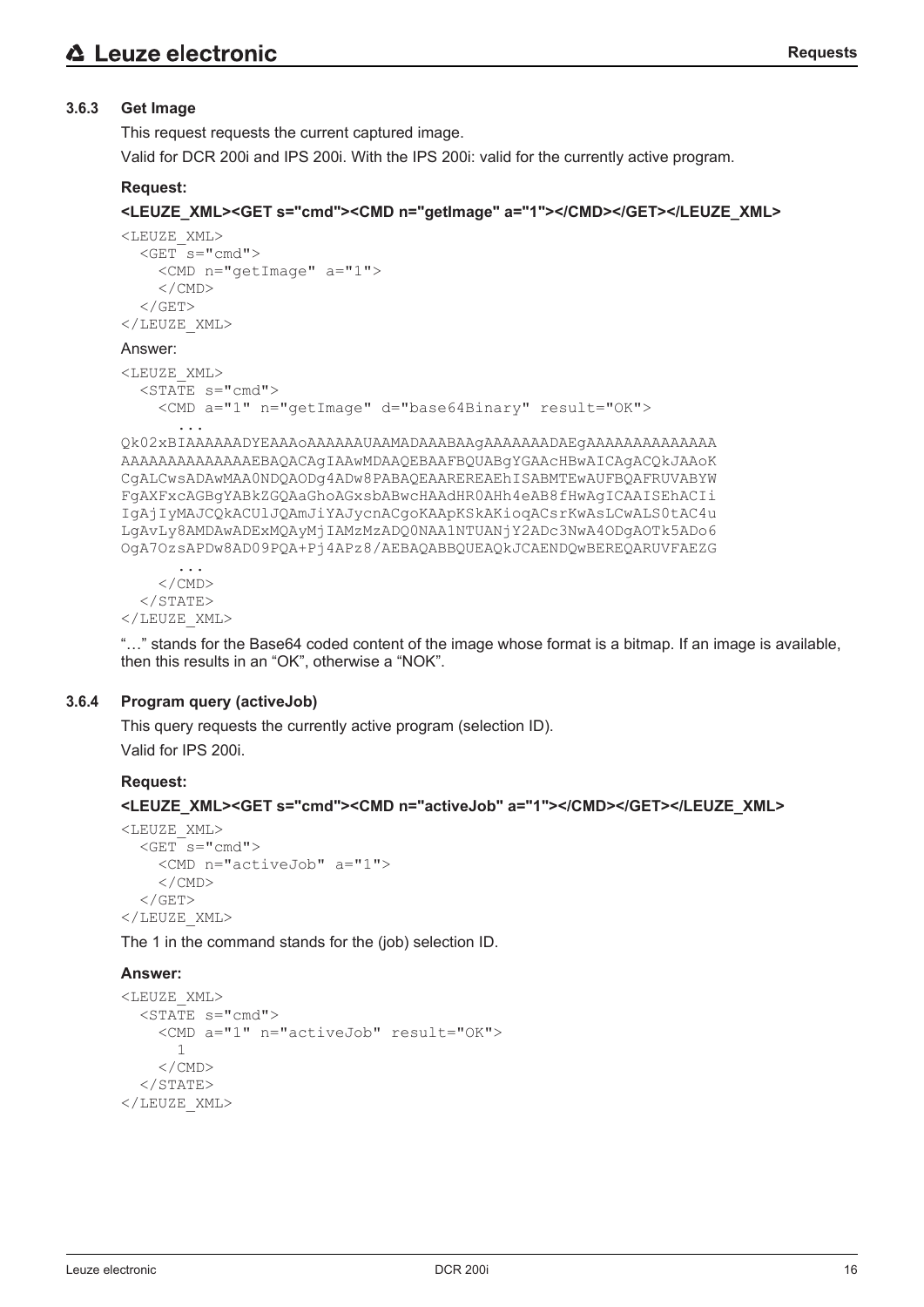# **3.6.3 Get Image**

This request requests the current captured image.

Valid for DCR 200i and IPS 200i. With the IPS 200i: valid for the currently active program.

# **Request:**

```
<LEUZE_XML><GET s="cmd"><CMD n="getImage" a="1"></CMD></GET></LEUZE_XML>
```

```
<LEUZE_XML>
  <GET s="cmd">
        <CMD n="getImage" a="1">
        </CMD>
  \langle/GET>
</LEUZE_XML>
Answer:
<LEUZE_XML>
  \overline{\text{STATE}} s="cmd">
        <CMD a="1" n="getImage" d="base64Binary" result="OK">
            ...
Qk02xBIAAAAAADYEAAAoAAAAAAUAAMADAAABAAgAAAAAAADAEgAAAAAAAAAAAAAA
AAAAAAAAAAAAAAEBAQACAgIAAwMDAAQEBAAFBQUABgYGAAcHBwAICAgACQkJAAoK
CgALCwsADAwMAA0NDQAODg4ADw8PABAQEAAREREAEhISABMTEwAUFBQAFRUVABYW
FgAXFxcAGBgYABkZGQAaGhoAGxsbABwcHAAdHR0AHh4eAB8fHwAgICAAISEhACIi
IgAjIyMAJCQkACUlJQAmJiYAJycnACgoKAApKSkAKioqACsrKwAsLCwALS0tAC4u
LgAvLy8AMDAwADExMQAyMjIAMzMzADQ0NAA1NTUANjY2ADc3NwA4ODgAOTk5ADo6
OgA7OzsAPDw8AD09PQA+Pj4APz8/AEBAQABBQUEAQkJCAENDQwBEREQARUVFAEZG
            ...
```
 $\langle$ /CMD $\rangle$  $<$ /STATE> </LEUZE\_XML>

"…" stands for the Base64 coded content of the image whose format is a bitmap. If an image is available, then this results in an "OK", otherwise a "NOK".

#### **3.6.4 Program query (activeJob)**

This query requests the currently active program (selection ID). Valid for IPS 200i.

#### **Request:**

```
<LEUZE_XML><GET s="cmd"><CMD n="activeJob" a="1"></CMD></GET></LEUZE_XML>
```

```
<LEUZE_XML>
  <<b>GET s="cmd">
         <CMD n="activeJob" a="1">
         </CMD>
  \langle/GET>
</LEUZE_XML>
```
The 1 in the command stands for the (job) selection ID.

```
<LEUZE_XML>
  \overline{\text{STATE}} s="cmd">
         <CMD a="1" n="activeJob" result="OK">
              1
         </CMD>
  \langle/STATE>
</LEUZE_XML>
```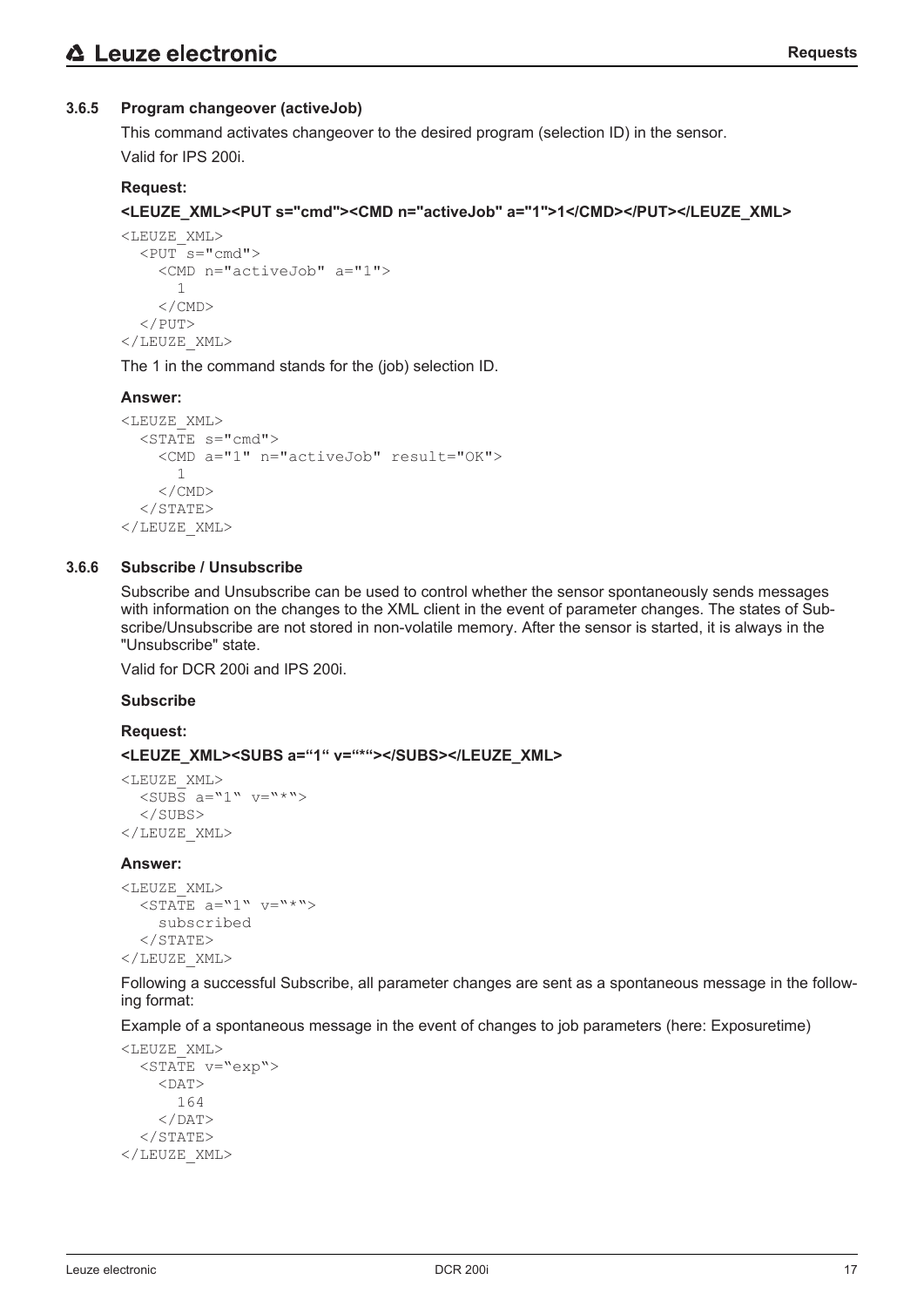# **3.6.5 Program changeover (activeJob)**

This command activates changeover to the desired program (selection ID) in the sensor. Valid for IPS 200i.

# **Request:**

# **<LEUZE\_XML><PUT s="cmd"><CMD n="activeJob" a="1">1</CMD></PUT></LEUZE\_XML>**

```
<LEUZE_XML>
  \overline{PUT} s="cmd">
         <CMD n="activeJob" a="1">
              1
         </CMD>
  \langle/PUT>
</LEUZE_XML>
```
The 1 in the command stands for the (job) selection ID.

#### **Answer:**

```
<LEUZE_XML>
  \overline{\text{STATE}} s="cmd">
         <CMD a="1" n="activeJob" result="OK">
              1
         </CMD>
  </STATE>
</LEUZE_XML>
```
#### **3.6.6 Subscribe / Unsubscribe**

Subscribe and Unsubscribe can be used to control whether the sensor spontaneously sends messages with information on the changes to the XML client in the event of parameter changes. The states of Subscribe/Unsubscribe are not stored in non-volatile memory. After the sensor is started, it is always in the "Unsubscribe" state.

Valid for DCR 200i and IPS 200i.

#### **Subscribe**

**Request:**

#### **<LEUZE\_XML><SUBS a="1" v="\*"></SUBS></LEUZE\_XML>**

```
<LEUZE_XML>
  \overline{\text{SUBS}} a="1" v="*">
    </SUBS>
</LEUZE_XML>
```
#### **Answer:**

```
<LEUZE_XML>
  \langleSTATE a="1" v="*">
        subscribed
  </STATE>
</LEUZE_XML>
```
Following a successful Subscribe, all parameter changes are sent as a spontaneous message in the following format:

Example of a spontaneous message in the event of changes to job parameters (here: Exposuretime)

```
<LEUZE_XML>
    <STATE v="exp">
    <DAT>      164
    </DAT>
  </STATE>
</LEUZE_XML>
```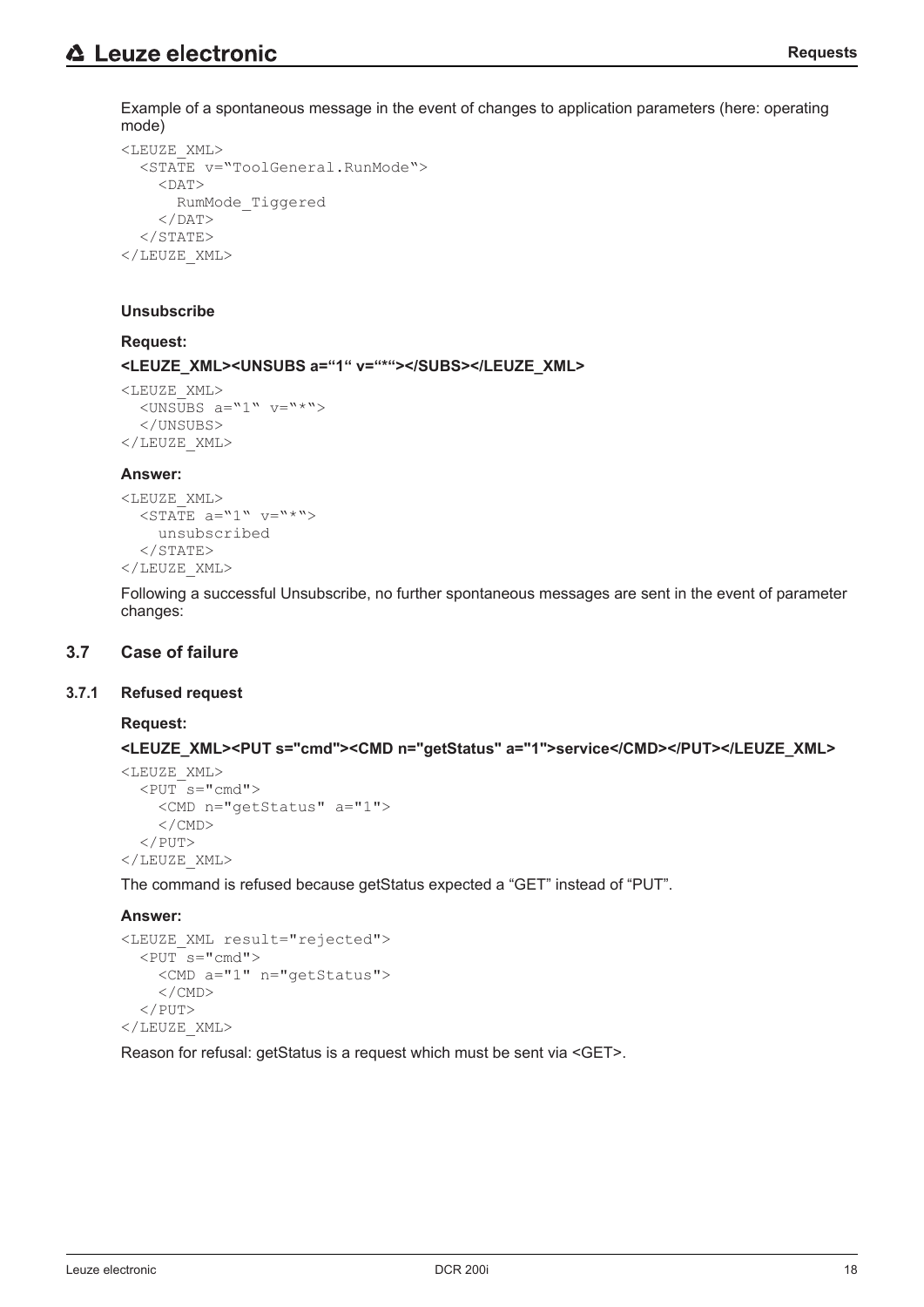Example of a spontaneous message in the event of changes to application parameters (here: operating mode)

```
<LEUZE_XML>
    <STATE v="ToolGeneral.RunMode">
    <DAT>      RumMode_Tiggered
    </DAT>
  </STATE>
</LEUZE_XML>
```
#### **Unsubscribe**

#### **Request:**

**<LEUZE\_XML><UNSUBS a="1" v="\*"></SUBS></LEUZE\_XML>**

```
<LEUZE_XML>
  <UNSUBS a="1" v="*">
    </UNSUBS>
</LEUZE_XML>
```
#### **Answer:**

```
<LEUZE_XML>
  \overline{\text{SITATE}} a="1" \text{v=}"*">
         unsubscribed
   \langle/STATE>
</LEUZE_XML>
```
Following a successful Unsubscribe, no further spontaneous messages are sent in the event of parameter changes:

#### **3.7 Case of failure**

#### **3.7.1 Refused request**

#### **Request:**

**<LEUZE\_XML><PUT s="cmd"><CMD n="getStatus" a="1">service</CMD></PUT></LEUZE\_XML>**

```
<LEUZE_XML>
  \overline{<PUT s="cmd">
         <CMD n="getStatus" a="1">
     \langle/CMD\rangle\langle/PUT>
</LEUZE_XML>
```
The command is refused because getStatus expected a "GET" instead of "PUT".

#### **Answer:**

```
<LEUZE_XML result="rejected">
  <PUT s="cmd">
        <CMD a="1" n="getStatus">
    \langle/CMD\rangle</PUT>
</LEUZE_XML>
```
Reason for refusal: getStatus is a request which must be sent via <GET>.